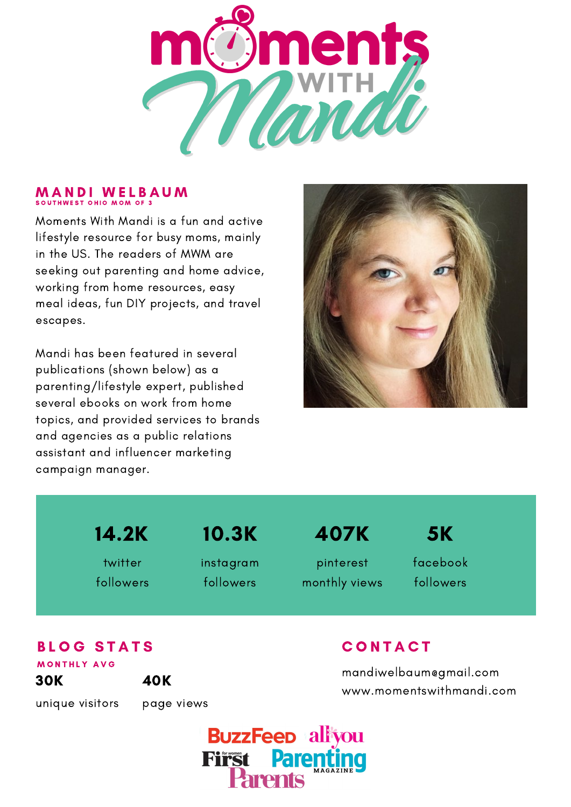

#### **MANDI WELBAUM** SOUTHWEST OHIO MOM OF 3

Moments With Mandi is a fun and active lifestyle resource for busy moms, mainly in the US. The readers of MWM are seeking out parenting and home advice, working from home resources, easy meal ideas, fun DIY projects, and travel escapes.

Mandi has been featured in several publications (shown below) as a parenting/lifestyle expert, published several ebooks on work from home topics, and provided services to brands and agencies as a public relations assistant and influencer marketing campaign manager.



14.2K

twitter followers

# 10.3K

instagram followers

407K

pinterest monthly views facebook 5K

followers

# **BLOG STATS**

30K MONTHLY AVG

40K

unique visitors

page views

### **CONTACT**

mandiwelbaum@gmail.com www.momentswithmandi.com